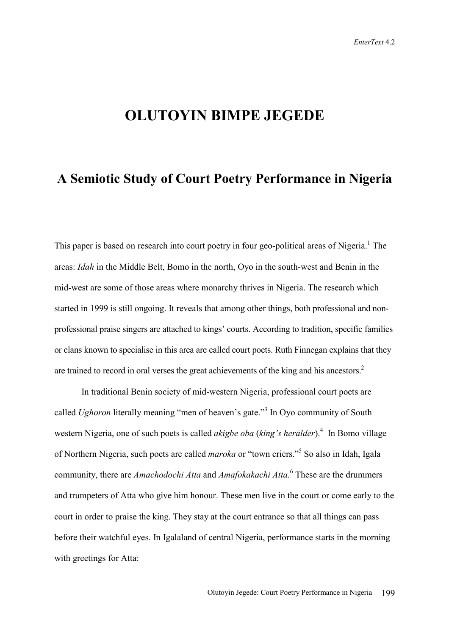## **OLUTOYIN BIMPE JEGEDE**

## **A Semiotic Study of Court Poetry Performance in Nigeria**

This paper is based on research into court poetry in four geo-political areas of Nigeria.<sup>1</sup> The areas: *Idah* in the Middle Belt, Bomo in the north, Oyo in the south-west and Benin in the mid-west are some of those areas where monarchy thrives in Nigeria. The research which started in 1999 is still ongoing. It reveals that among other things, both professional and nonprofessional praise singers are attached to kings' courts. According to tradition, specific families or clans known to specialise in this area are called court poets. Ruth Finnegan explains that they are trained to record in oral verses the great achievements of the king and his ancestors.<sup>2</sup>

In traditional Benin society of mid-western Nigeria, professional court poets are called *Ughoron* literally meaning "men of heaven's gate."<sup>3</sup> In Oyo community of South western Nigeria, one of such poets is called *akigbe oba (king's heralder*).<sup>4</sup> In Bomo village of Northern Nigeria, such poets are called *maroka* or "town criers."<sup>5</sup> So also in Idah, Igala community, there are *Amachodochi Atta* and *Amafokakachi Atta.*<sup>6</sup> These are the drummers and trumpeters of Atta who give him honour. These men live in the court or come early to the court in order to praise the king. They stay at the court entrance so that all things can pass before their watchful eyes. In Igalaland of central Nigeria, performance starts in the morning with greetings for Atta: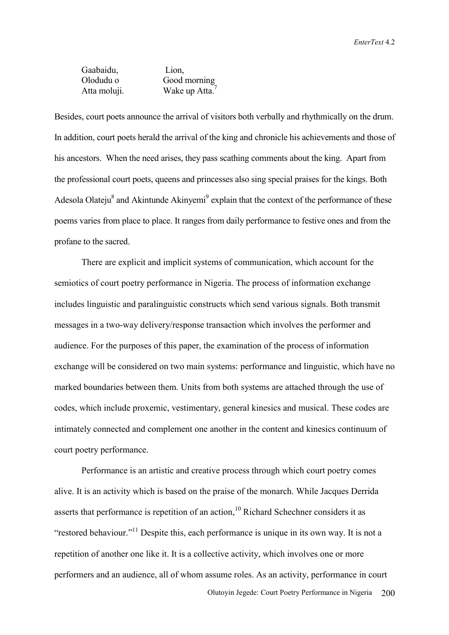Gaabaidu, Lion, Olodudu o Good morning Atta moluji. Wake up Atta.<sup>7</sup>

Besides, court poets announce the arrival of visitors both verbally and rhythmically on the drum. In addition, court poets herald the arrival of the king and chronicle his achievements and those of his ancestors. When the need arises, they pass scathing comments about the king. Apart from the professional court poets, queens and princesses also sing special praises for the kings. Both Adesola Olateju $^8$  and Akintunde Akinyemi<sup>9</sup> explain that the context of the performance of these poems varies from place to place. It ranges from daily performance to festive ones and from the profane to the sacred.

 There are explicit and implicit systems of communication, which account for the semiotics of court poetry performance in Nigeria. The process of information exchange includes linguistic and paralinguistic constructs which send various signals. Both transmit messages in a two-way delivery/response transaction which involves the performer and audience. For the purposes of this paper, the examination of the process of information exchange will be considered on two main systems: performance and linguistic, which have no marked boundaries between them. Units from both systems are attached through the use of codes, which include proxemic, vestimentary, general kinesics and musical. These codes are intimately connected and complement one another in the content and kinesics continuum of court poetry performance.

 Performance is an artistic and creative process through which court poetry comes alive. It is an activity which is based on the praise of the monarch. While Jacques Derrida asserts that performance is repetition of an action, $10$  Richard Schechner considers it as "restored behaviour."<sup>11</sup> Despite this, each performance is unique in its own way. It is not a repetition of another one like it. It is a collective activity, which involves one or more performers and an audience, all of whom assume roles. As an activity, performance in court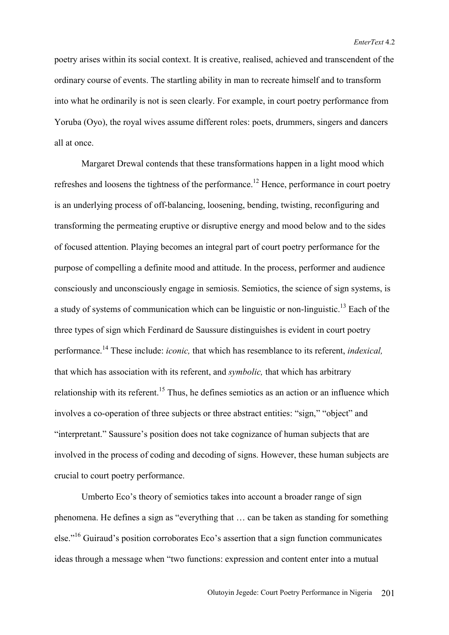poetry arises within its social context. It is creative, realised, achieved and transcendent of the ordinary course of events. The startling ability in man to recreate himself and to transform into what he ordinarily is not is seen clearly. For example, in court poetry performance from Yoruba (Oyo), the royal wives assume different roles: poets, drummers, singers and dancers all at once.

 Margaret Drewal contends that these transformations happen in a light mood which refreshes and loosens the tightness of the performance.<sup>12</sup> Hence, performance in court poetry is an underlying process of off-balancing, loosening, bending, twisting, reconfiguring and transforming the permeating eruptive or disruptive energy and mood below and to the sides of focused attention. Playing becomes an integral part of court poetry performance for the purpose of compelling a definite mood and attitude. In the process, performer and audience consciously and unconsciously engage in semiosis. Semiotics, the science of sign systems, is a study of systems of communication which can be linguistic or non-linguistic.<sup>13</sup> Each of the three types of sign which Ferdinard de Saussure distinguishes is evident in court poetry performance.14 These include: *iconic,* that which has resemblance to its referent, *indexical,* that which has association with its referent, and *symbolic,* that which has arbitrary relationship with its referent.<sup>15</sup> Thus, he defines semiotics as an action or an influence which involves a co-operation of three subjects or three abstract entities: "sign," "object" and "interpretant." Saussure's position does not take cognizance of human subjects that are involved in the process of coding and decoding of signs. However, these human subjects are crucial to court poetry performance.

 Umberto Eco's theory of semiotics takes into account a broader range of sign phenomena. He defines a sign as "everything that … can be taken as standing for something else."16 Guiraud's position corroborates Eco's assertion that a sign function communicates ideas through a message when "two functions: expression and content enter into a mutual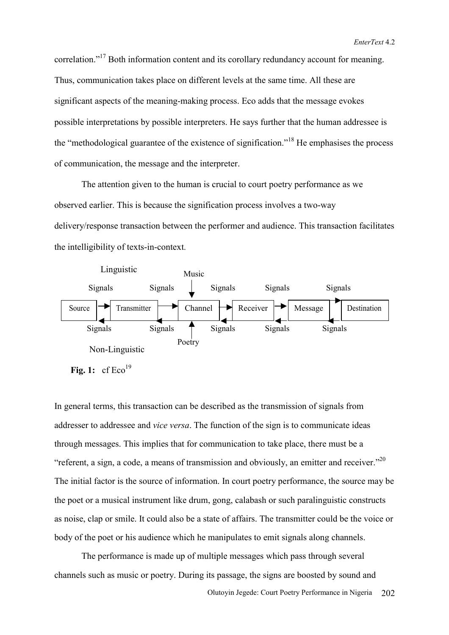correlation."17 Both information content and its corollary redundancy account for meaning. Thus, communication takes place on different levels at the same time. All these are significant aspects of the meaning-making process. Eco adds that the message evokes possible interpretations by possible interpreters. He says further that the human addressee is the "methodological guarantee of the existence of signification."18 He emphasises the process of communication, the message and the interpreter.

The attention given to the human is crucial to court poetry performance as we observed earlier. This is because the signification process involves a two-way delivery/response transaction between the performer and audience. This transaction facilitates the intelligibility of texts-in-context.



In general terms, this transaction can be described as the transmission of signals from addresser to addressee and *vice versa*. The function of the sign is to communicate ideas through messages. This implies that for communication to take place, there must be a "referent, a sign, a code, a means of transmission and obviously, an emitter and receiver."<sup>20</sup> The initial factor is the source of information. In court poetry performance, the source may be the poet or a musical instrument like drum, gong, calabash or such paralinguistic constructs as noise, clap or smile. It could also be a state of affairs. The transmitter could be the voice or body of the poet or his audience which he manipulates to emit signals along channels.

The performance is made up of multiple messages which pass through several channels such as music or poetry. During its passage, the signs are boosted by sound and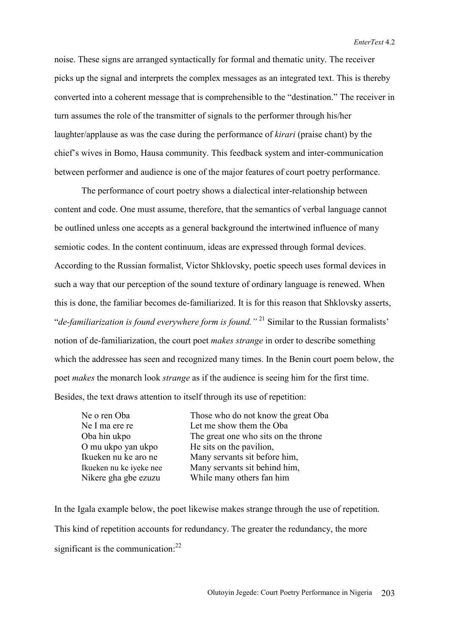noise. These signs are arranged syntactically for formal and thematic unity. The receiver picks up the signal and interprets the complex messages as an integrated text. This is thereby converted into a coherent message that is comprehensible to the "destination." The receiver in turn assumes the role of the transmitter of signals to the performer through his/her laughter/applause as was the case during the performance of *kirari* (praise chant) by the chief's wives in Bomo, Hausa community. This feedback system and inter-communication between performer and audience is one of the major features of court poetry performance.

 The performance of court poetry shows a dialectical inter-relationship between content and code. One must assume, therefore, that the semantics of verbal language cannot be outlined unless one accepts as a general background the intertwined influence of many semiotic codes. In the content continuum, ideas are expressed through formal devices. According to the Russian formalist, Victor Shklovsky, poetic speech uses formal devices in such a way that our perception of the sound texture of ordinary language is renewed. When this is done, the familiar becomes de-familiarized. It is for this reason that Shklovsky asserts, "*de-familiarization is found everywhere form is found."* 21 Similar to the Russian formalists' notion of de-familiarization, the court poet *makes strange* in order to describe something which the addressee has seen and recognized many times. In the Benin court poem below, the poet *makes* the monarch look *strange* as if the audience is seeing him for the first time. Besides, the text draws attention to itself through its use of repetition:

| Ne o ren Oba            | Those who do not know the great Oba  |
|-------------------------|--------------------------------------|
| Ne I ma ere re          | Let me show them the Oba             |
| Oba hin ukpo            | The great one who sits on the throne |
| O mu ukpo yan ukpo      | He sits on the pavilion,             |
| Ikueken nu ke aro ne    | Many servants sit before him,        |
| Ikueken nu ke iyeke nee | Many servants sit behind him,        |
| Nikere gha gbe ezuzu    | While many others fan him            |
|                         |                                      |

In the Igala example below, the poet likewise makes strange through the use of repetition. This kind of repetition accounts for redundancy. The greater the redundancy, the more significant is the communication:<sup>22</sup>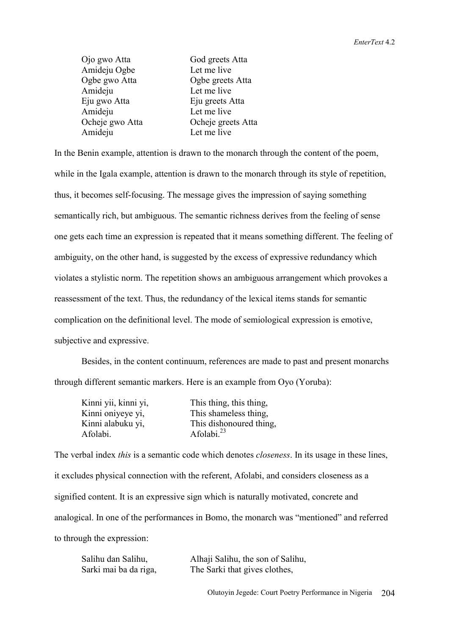| Ojo gwo Atta    | God greets Atta    |
|-----------------|--------------------|
| Amideju Ogbe    | Let me live        |
| Ogbe gwo Atta   | Ogbe greets Atta   |
| Amideju         | Let me live        |
| Eju gwo Atta    | Eju greets Atta    |
| Amideju         | Let me live        |
| Ocheje gwo Atta | Ocheje greets Atta |
| Amideju         | Let me live        |

In the Benin example, attention is drawn to the monarch through the content of the poem, while in the Igala example, attention is drawn to the monarch through its style of repetition, thus, it becomes self-focusing. The message gives the impression of saying something semantically rich, but ambiguous. The semantic richness derives from the feeling of sense one gets each time an expression is repeated that it means something different. The feeling of ambiguity, on the other hand, is suggested by the excess of expressive redundancy which violates a stylistic norm. The repetition shows an ambiguous arrangement which provokes a reassessment of the text. Thus, the redundancy of the lexical items stands for semantic complication on the definitional level. The mode of semiological expression is emotive, subjective and expressive.

 Besides, in the content continuum, references are made to past and present monarchs through different semantic markers. Here is an example from Oyo (Yoruba):

| Kinni yii, kinni yi, | This thing, this thing, |
|----------------------|-------------------------|
| Kinni oniyeye yi,    | This shameless thing,   |
| Kinni alabuku yi,    | This dishonoured thing. |
| Afolabi.             | Afolabi. $^{23}$        |

The verbal index *this* is a semantic code which denotes *closeness*. In its usage in these lines, it excludes physical connection with the referent, Afolabi, and considers closeness as a signified content. It is an expressive sign which is naturally motivated, concrete and analogical. In one of the performances in Bomo, the monarch was "mentioned" and referred to through the expression:

| Salihu dan Salihu,    | Alhaji Salihu, the son of Salihu, |
|-----------------------|-----------------------------------|
| Sarki mai ba da riga, | The Sarki that gives clothes,     |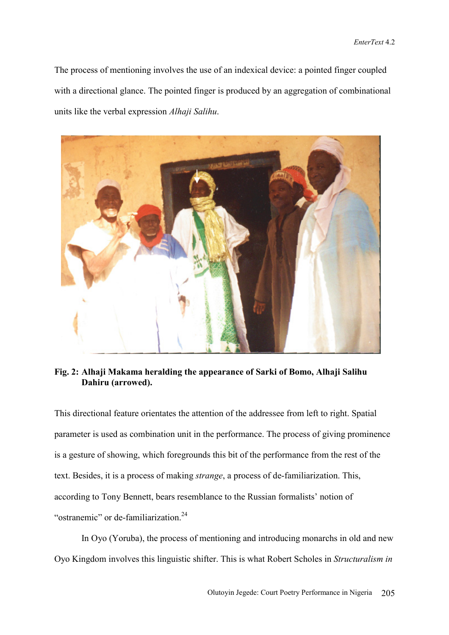The process of mentioning involves the use of an indexical device: a pointed finger coupled with a directional glance. The pointed finger is produced by an aggregation of combinational units like the verbal expression *Alhaji Salihu*.



**Fig. 2: Alhaji Makama heralding the appearance of Sarki of Bomo, Alhaji Salihu Dahiru (arrowed).**

This directional feature orientates the attention of the addressee from left to right. Spatial parameter is used as combination unit in the performance. The process of giving prominence is a gesture of showing, which foregrounds this bit of the performance from the rest of the text. Besides, it is a process of making *strange*, a process of de-familiarization. This, according to Tony Bennett, bears resemblance to the Russian formalists' notion of "ostranemic" or de-familiarization.<sup>24</sup>

 In Oyo (Yoruba), the process of mentioning and introducing monarchs in old and new Oyo Kingdom involves this linguistic shifter. This is what Robert Scholes in *Structuralism in*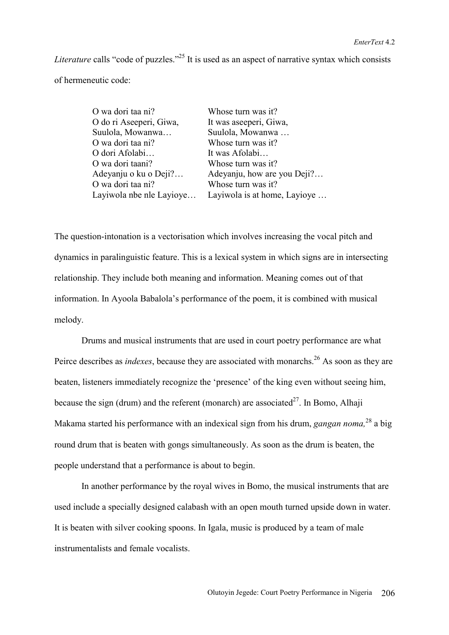*Literature* calls "code of puzzles."<sup>25</sup> It is used as an aspect of narrative syntax which consists of hermeneutic code:

| O wa dori taa ni?        | Whose turn was it?           |
|--------------------------|------------------------------|
| O do ri Aseeperi, Giwa,  | It was aseeperi, Giwa,       |
| Suulola, Mowanwa         | Suulola, Mowanwa             |
| O wa dori taa ni?        | Whose turn was it?           |
| O dori Afolabi           | It was Afolabi               |
| O wa dori taani?         | Whose turn was it?           |
| Adeyanju o ku o Deji?    | Adeyanju, how are you Deji?  |
| O wa dori taa ni?        | Whose turn was it?           |
| Layiwola nbe nle Layioye | Layiwola is at home, Layioye |

The question-intonation is a vectorisation which involves increasing the vocal pitch and dynamics in paralinguistic feature. This is a lexical system in which signs are in intersecting relationship. They include both meaning and information. Meaning comes out of that information. In Ayoola Babalola's performance of the poem, it is combined with musical melody.

Drums and musical instruments that are used in court poetry performance are what Peirce describes as *indexes*, because they are associated with monarchs.<sup>26</sup> As soon as they are beaten, listeners immediately recognize the 'presence' of the king even without seeing him, because the sign (drum) and the referent (monarch) are associated<sup>27</sup>. In Bomo, Alhaji Makama started his performance with an indexical sign from his drum, *gangan noma,* 28 a big round drum that is beaten with gongs simultaneously. As soon as the drum is beaten, the people understand that a performance is about to begin.

In another performance by the royal wives in Bomo, the musical instruments that are used include a specially designed calabash with an open mouth turned upside down in water. It is beaten with silver cooking spoons. In Igala, music is produced by a team of male instrumentalists and female vocalists.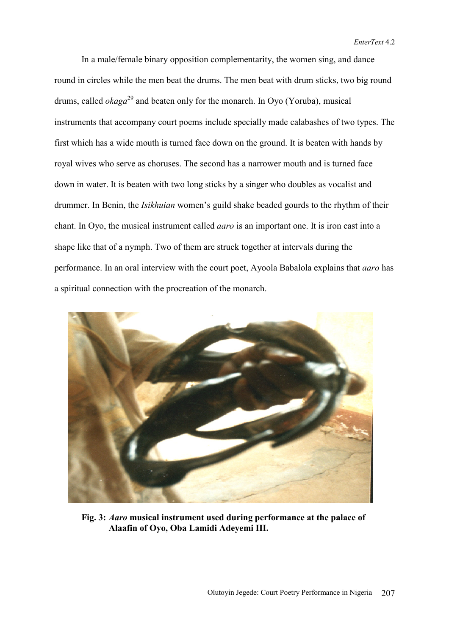In a male/female binary opposition complementarity, the women sing, and dance round in circles while the men beat the drums. The men beat with drum sticks, two big round drums, called *okaga*<sup>29</sup> and beaten only for the monarch. In Oyo (Yoruba), musical instruments that accompany court poems include specially made calabashes of two types. The first which has a wide mouth is turned face down on the ground. It is beaten with hands by royal wives who serve as choruses. The second has a narrower mouth and is turned face down in water. It is beaten with two long sticks by a singer who doubles as vocalist and drummer. In Benin, the *Isikhuian* women's guild shake beaded gourds to the rhythm of their chant. In Oyo, the musical instrument called *aaro* is an important one. It is iron cast into a shape like that of a nymph. Two of them are struck together at intervals during the performance. In an oral interview with the court poet, Ayoola Babalola explains that *aaro* has a spiritual connection with the procreation of the monarch.



**Fig. 3:** *Aaro* **musical instrument used during performance at the palace of Alaafin of Oyo, Oba Lamidi Adeyemi III.**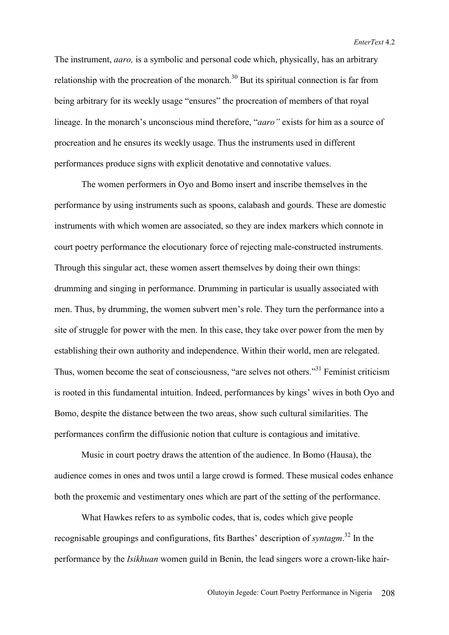The instrument, *aaro,* is a symbolic and personal code which, physically, has an arbitrary relationship with the procreation of the monarch.<sup>30</sup> But its spiritual connection is far from being arbitrary for its weekly usage "ensures" the procreation of members of that royal lineage. In the monarch's unconscious mind therefore, "*aaro"* exists for him as a source of procreation and he ensures its weekly usage. Thus the instruments used in different performances produce signs with explicit denotative and connotative values.

The women performers in Oyo and Bomo insert and inscribe themselves in the performance by using instruments such as spoons, calabash and gourds. These are domestic instruments with which women are associated, so they are index markers which connote in court poetry performance the elocutionary force of rejecting male-constructed instruments. Through this singular act, these women assert themselves by doing their own things: drumming and singing in performance. Drumming in particular is usually associated with men. Thus, by drumming, the women subvert men's role. They turn the performance into a site of struggle for power with the men. In this case, they take over power from the men by establishing their own authority and independence. Within their world, men are relegated. Thus, women become the seat of consciousness, "are selves not others."31 Feminist criticism is rooted in this fundamental intuition. Indeed, performances by kings' wives in both Oyo and Bomo, despite the distance between the two areas, show such cultural similarities. The performances confirm the diffusionic notion that culture is contagious and imitative.

Music in court poetry draws the attention of the audience. In Bomo (Hausa), the audience comes in ones and twos until a large crowd is formed. These musical codes enhance both the proxemic and vestimentary ones which are part of the setting of the performance.

What Hawkes refers to as symbolic codes, that is, codes which give people recognisable groupings and configurations, fits Barthes' description of *syntagm*. 32 In the performance by the *Isikhuan* women guild in Benin, the lead singers wore a crown-like hair-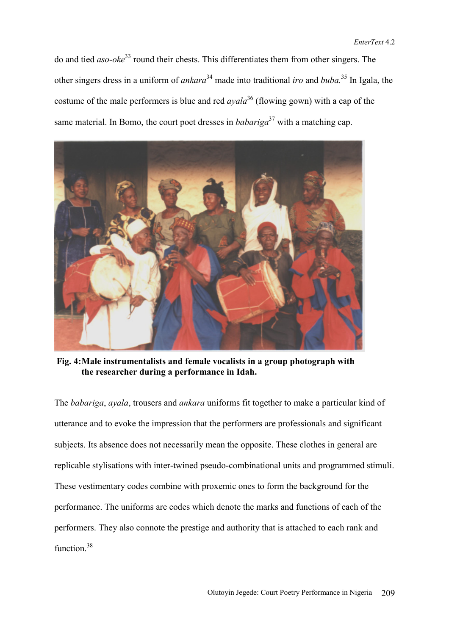do and tied *aso-oke*33 round their chests. This differentiates them from other singers. The other singers dress in a uniform of *ankara*34 made into traditional *iro* and *buba.*35 In Igala, the costume of the male performers is blue and red *ayala*36 (flowing gown) with a cap of the same material. In Bomo, the court poet dresses in *babariga*<sup>37</sup> with a matching cap.



 **Fig. 4: Male instrumentalists and female vocalists in a group photograph with the researcher during a performance in Idah.** 

The *babariga*, *ayala*, trousers and *ankara* uniforms fit together to make a particular kind of utterance and to evoke the impression that the performers are professionals and significant subjects. Its absence does not necessarily mean the opposite. These clothes in general are replicable stylisations with inter-twined pseudo-combinational units and programmed stimuli. These vestimentary codes combine with proxemic ones to form the background for the performance. The uniforms are codes which denote the marks and functions of each of the performers. They also connote the prestige and authority that is attached to each rank and function<sup>38</sup>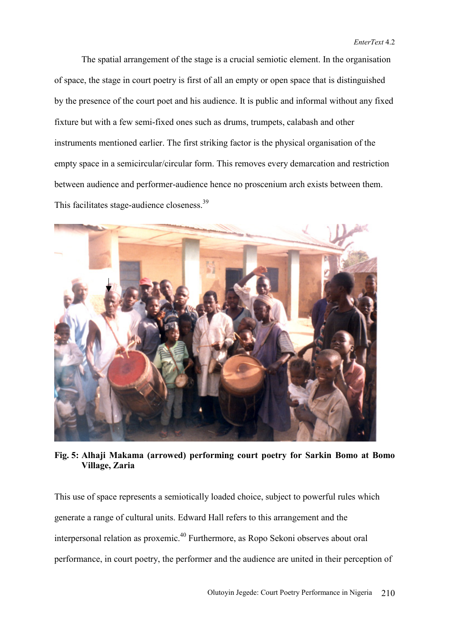The spatial arrangement of the stage is a crucial semiotic element. In the organisation of space, the stage in court poetry is first of all an empty or open space that is distinguished by the presence of the court poet and his audience. It is public and informal without any fixed fixture but with a few semi-fixed ones such as drums, trumpets, calabash and other instruments mentioned earlier. The first striking factor is the physical organisation of the empty space in a semicircular/circular form. This removes every demarcation and restriction between audience and performer-audience hence no proscenium arch exists between them. This facilitates stage-audience closeness.<sup>39</sup>



**Fig. 5: Alhaji Makama (arrowed) performing court poetry for Sarkin Bomo at Bomo Village, Zaria** 

This use of space represents a semiotically loaded choice, subject to powerful rules which generate a range of cultural units. Edward Hall refers to this arrangement and the interpersonal relation as proxemic.40 Furthermore, as Ropo Sekoni observes about oral performance, in court poetry, the performer and the audience are united in their perception of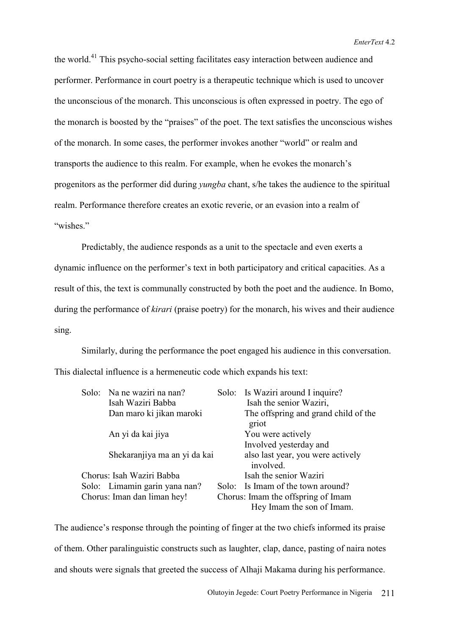*EnterText* 4.2

the world.41 This psycho-social setting facilitates easy interaction between audience and performer. Performance in court poetry is a therapeutic technique which is used to uncover the unconscious of the monarch. This unconscious is often expressed in poetry. The ego of the monarch is boosted by the "praises" of the poet. The text satisfies the unconscious wishes of the monarch. In some cases, the performer invokes another "world" or realm and transports the audience to this realm. For example, when he evokes the monarch's progenitors as the performer did during *yungba* chant, s/he takes the audience to the spiritual realm. Performance therefore creates an exotic reverie, or an evasion into a realm of "wishes."

 Predictably, the audience responds as a unit to the spectacle and even exerts a dynamic influence on the performer's text in both participatory and critical capacities. As a result of this, the text is communally constructed by both the poet and the audience. In Bomo, during the performance of *kirari* (praise poetry) for the monarch, his wives and their audience sing.

Similarly, during the performance the poet engaged his audience in this conversation. This dialectal influence is a hermeneutic code which expands his text:

|  | Solo: Na ne waziri na nan?    | Solo: Is Waziri around I inquire?                               |
|--|-------------------------------|-----------------------------------------------------------------|
|  | Isah Waziri Babba             | Isah the senior Waziri,                                         |
|  | Dan maro ki jikan maroki      | The offspring and grand child of the<br>griot                   |
|  | An yi da kai jiya             | You were actively                                               |
|  |                               | Involved yesterday and                                          |
|  | Shekaranjiya ma an yi da kai  | also last year, you were actively<br>involved.                  |
|  | Chorus: Isah Waziri Babba     | Isah the senior Waziri                                          |
|  | Solo: Limamin garin yana nan? | Solo: Is Imam of the town around?                               |
|  | Chorus: Iman dan liman hey!   | Chorus: Imam the offspring of Imam<br>Hey Imam the son of Imam. |

The audience's response through the pointing of finger at the two chiefs informed its praise of them. Other paralinguistic constructs such as laughter, clap, dance, pasting of naira notes and shouts were signals that greeted the success of Alhaji Makama during his performance.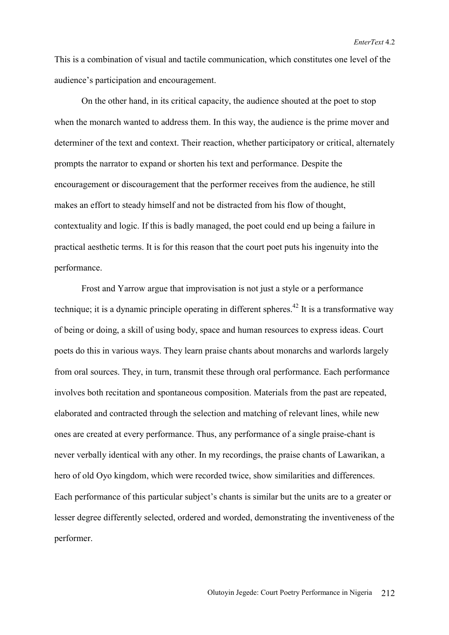This is a combination of visual and tactile communication, which constitutes one level of the audience's participation and encouragement.

 On the other hand, in its critical capacity, the audience shouted at the poet to stop when the monarch wanted to address them. In this way, the audience is the prime mover and determiner of the text and context. Their reaction, whether participatory or critical, alternately prompts the narrator to expand or shorten his text and performance. Despite the encouragement or discouragement that the performer receives from the audience, he still makes an effort to steady himself and not be distracted from his flow of thought, contextuality and logic. If this is badly managed, the poet could end up being a failure in practical aesthetic terms. It is for this reason that the court poet puts his ingenuity into the performance.

 Frost and Yarrow argue that improvisation is not just a style or a performance technique; it is a dynamic principle operating in different spheres.<sup>42</sup> It is a transformative way of being or doing, a skill of using body, space and human resources to express ideas. Court poets do this in various ways. They learn praise chants about monarchs and warlords largely from oral sources. They, in turn, transmit these through oral performance. Each performance involves both recitation and spontaneous composition. Materials from the past are repeated, elaborated and contracted through the selection and matching of relevant lines, while new ones are created at every performance. Thus, any performance of a single praise-chant is never verbally identical with any other. In my recordings, the praise chants of Lawarikan, a hero of old Oyo kingdom, which were recorded twice, show similarities and differences. Each performance of this particular subject's chants is similar but the units are to a greater or lesser degree differently selected, ordered and worded, demonstrating the inventiveness of the performer.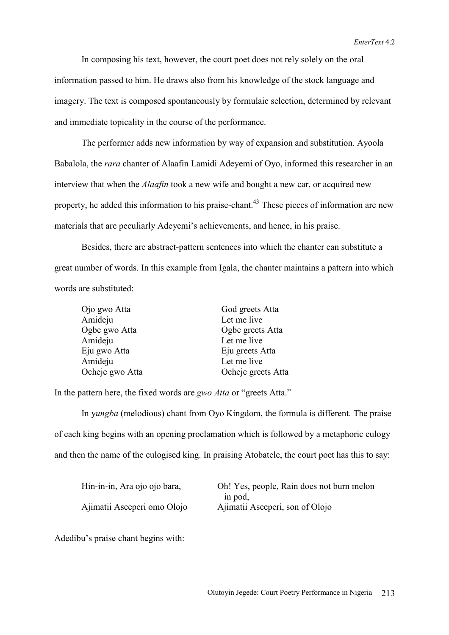*EnterText* 4.2

 In composing his text, however, the court poet does not rely solely on the oral information passed to him. He draws also from his knowledge of the stock language and imagery. The text is composed spontaneously by formulaic selection, determined by relevant and immediate topicality in the course of the performance.

 The performer adds new information by way of expansion and substitution. Ayoola Babalola, the *rara* chanter of Alaafin Lamidi Adeyemi of Oyo, informed this researcher in an interview that when the *Alaafin* took a new wife and bought a new car, or acquired new property, he added this information to his praise-chant.<sup>43</sup> These pieces of information are new materials that are peculiarly Adeyemi's achievements, and hence, in his praise.

 Besides, there are abstract-pattern sentences into which the chanter can substitute a great number of words. In this example from Igala, the chanter maintains a pattern into which words are substituted:

| Ojo gwo Atta    | God greets Atta    |
|-----------------|--------------------|
| Amideju         | Let me live        |
| Ogbe gwo Atta   | Ogbe greets Atta   |
| Amideju         | Let me live        |
| Eju gwo Atta    | Eju greets Atta    |
| Amideju         | Let me live        |
| Ocheje gwo Atta | Ocheje greets Atta |

In the pattern here, the fixed words are *gwo Atta* or "greets Atta."

 In y*ungba* (melodious) chant from Oyo Kingdom, the formula is different. The praise of each king begins with an opening proclamation which is followed by a metaphoric eulogy and then the name of the eulogised king. In praising Atobatele, the court poet has this to say:

| Hin-in-in, Ara ojo ojo bara, | Oh! Yes, people, Rain does not burn melon |
|------------------------------|-------------------------------------------|
|                              | in pod.                                   |
| Ajimatii Aseeperi omo Olojo  | Ajimatii Aseeperi, son of Olojo           |

Adedibu's praise chant begins with: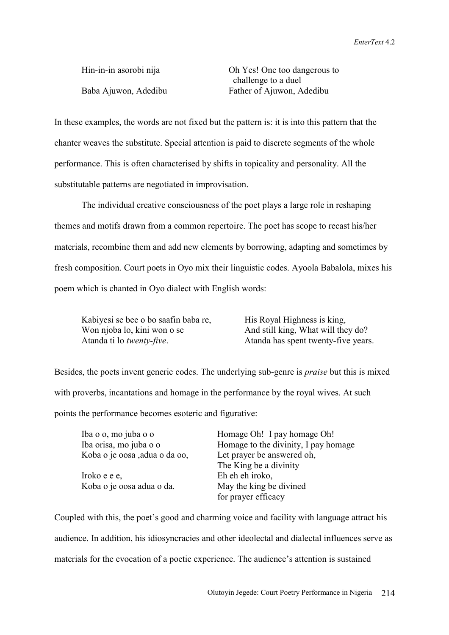Hin-in-in asorobi nijaOh Yes! One too dangerous to challenge to a duel Baba Ajuwon, Adedibu Father of Ajuwon, Adedibu

In these examples, the words are not fixed but the pattern is: it is into this pattern that the chanter weaves the substitute. Special attention is paid to discrete segments of the whole performance. This is often characterised by shifts in topicality and personality. All the substitutable patterns are negotiated in improvisation.

 The individual creative consciousness of the poet plays a large role in reshaping themes and motifs drawn from a common repertoire. The poet has scope to recast his/her materials, recombine them and add new elements by borrowing, adapting and sometimes by fresh composition. Court poets in Oyo mix their linguistic codes. Ayoola Babalola, mixes his poem which is chanted in Oyo dialect with English words:

| Kabiyesi se bee o bo saafin baba re, | His Royal Highness is king,         |
|--------------------------------------|-------------------------------------|
| Won njoba lo, kini won o se          | And still king, What will they do?  |
| Atanda ti lo <i>twenty-five</i> .    | Atanda has spent twenty-five years. |

Besides, the poets invent generic codes. The underlying sub-genre is *praise* but this is mixed with proverbs, incantations and homage in the performance by the royal wives. At such points the performance becomes esoteric and figurative:

| Iba o o, mo juba o o          | Homage Oh! I pay homage Oh!          |
|-------------------------------|--------------------------------------|
| Iba orisa, mo juba o o        | Homage to the divinity, I pay homage |
| Koba o je oosa ,adua o da oo, | Let prayer be answered oh,           |
|                               | The King be a divinity               |
| Iroko e e e,                  | Eh eh eh iroko,                      |
| Koba o je oosa adua o da.     | May the king be divined              |
|                               | for prayer efficacy                  |

Coupled with this, the poet's good and charming voice and facility with language attract his audience. In addition, his idiosyncracies and other ideolectal and dialectal influences serve as materials for the evocation of a poetic experience. The audience's attention is sustained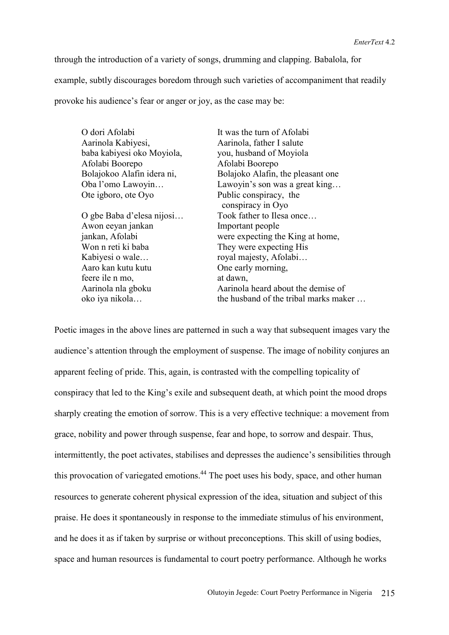through the introduction of a variety of songs, drumming and clapping. Babalola, for example, subtly discourages boredom through such varieties of accompaniment that readily provoke his audience's fear or anger or joy, as the case may be:

| It was the turn of Afolabi            |
|---------------------------------------|
| Aarinola, father I salute             |
| you, husband of Moyiola               |
| Afolabi Boorepo                       |
| Bolajoko Alafin, the pleasant one     |
| Lawoyin's son was a great king        |
| Public conspiracy, the                |
| conspiracy in Oyo                     |
| Took father to Ilesa once             |
| Important people                      |
| were expecting the King at home,      |
| They were expecting His               |
| royal majesty, Afolabi                |
| One early morning,                    |
| at dawn,                              |
| Aarinola heard about the demise of    |
| the husband of the tribal marks maker |
|                                       |

Poetic images in the above lines are patterned in such a way that subsequent images vary the audience's attention through the employment of suspense. The image of nobility conjures an apparent feeling of pride. This, again, is contrasted with the compelling topicality of conspiracy that led to the King's exile and subsequent death, at which point the mood drops sharply creating the emotion of sorrow. This is a very effective technique: a movement from grace, nobility and power through suspense, fear and hope, to sorrow and despair. Thus, intermittently, the poet activates, stabilises and depresses the audience's sensibilities through this provocation of variegated emotions.<sup>44</sup> The poet uses his body, space, and other human resources to generate coherent physical expression of the idea, situation and subject of this praise. He does it spontaneously in response to the immediate stimulus of his environment, and he does it as if taken by surprise or without preconceptions. This skill of using bodies, space and human resources is fundamental to court poetry performance. Although he works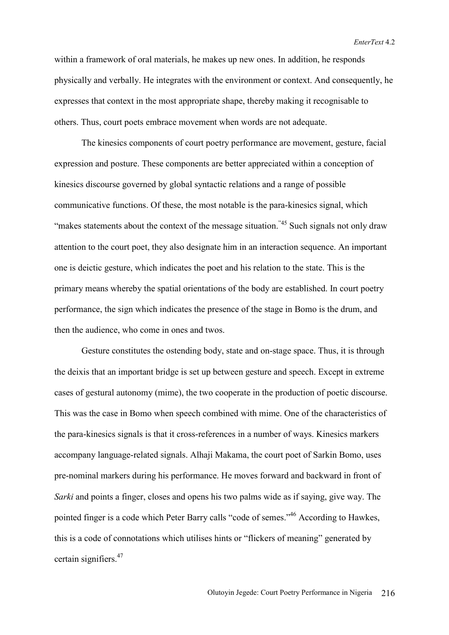*EnterText* 4.2

within a framework of oral materials, he makes up new ones. In addition, he responds physically and verbally. He integrates with the environment or context. And consequently, he expresses that context in the most appropriate shape, thereby making it recognisable to others. Thus, court poets embrace movement when words are not adequate.

 The kinesics components of court poetry performance are movement, gesture, facial expression and posture. These components are better appreciated within a conception of kinesics discourse governed by global syntactic relations and a range of possible communicative functions. Of these, the most notable is the para-kinesics signal, which "makes statements about the context of the message situation."<sup>45</sup> Such signals not only draw attention to the court poet, they also designate him in an interaction sequence. An important one is deictic gesture, which indicates the poet and his relation to the state. This is the primary means whereby the spatial orientations of the body are established. In court poetry performance, the sign which indicates the presence of the stage in Bomo is the drum, and then the audience, who come in ones and twos.

Gesture constitutes the ostending body, state and on-stage space. Thus, it is through the deixis that an important bridge is set up between gesture and speech. Except in extreme cases of gestural autonomy (mime), the two cooperate in the production of poetic discourse. This was the case in Bomo when speech combined with mime. One of the characteristics of the para-kinesics signals is that it cross-references in a number of ways. Kinesics markers accompany language-related signals. Alhaji Makama, the court poet of Sarkin Bomo, uses pre-nominal markers during his performance. He moves forward and backward in front of *Sarki* and points a finger, closes and opens his two palms wide as if saying, give way. The pointed finger is a code which Peter Barry calls "code of semes."46 According to Hawkes, this is a code of connotations which utilises hints or "flickers of meaning" generated by certain signifiers.<sup>47</sup>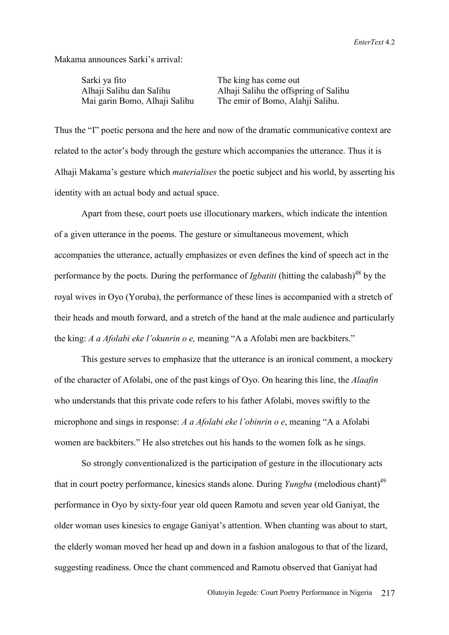Makama announces Sarki's arrival:

Sarki ya fito The king has come out

 Alhaji Salihu dan Salihu Alhaji Salihu the offspring of Salihu Mai garin Bomo, Alhaji Salihu The emir of Bomo, Alahji Salihu.

Thus the "I" poetic persona and the here and now of the dramatic communicative context are related to the actor's body through the gesture which accompanies the utterance. Thus it is Alhaji Makama's gesture which *materialises* the poetic subject and his world, by asserting his identity with an actual body and actual space.

 Apart from these, court poets use illocutionary markers, which indicate the intention of a given utterance in the poems. The gesture or simultaneous movement, which accompanies the utterance, actually emphasizes or even defines the kind of speech act in the performance by the poets. During the performance of *Igbatiti* (hitting the calabash)<sup>48</sup> by the royal wives in Oyo (Yoruba), the performance of these lines is accompanied with a stretch of their heads and mouth forward, and a stretch of the hand at the male audience and particularly the king: *A a Afolabi eke l'okunrin o e,* meaning "A a Afolabi men are backbiters."

 This gesture serves to emphasize that the utterance is an ironical comment, a mockery of the character of Afolabi, one of the past kings of Oyo. On hearing this line, the *Alaafin* who understands that this private code refers to his father Afolabi, moves swiftly to the microphone and sings in response: *A a Afolabi eke l'obinrin o e*, meaning "A a Afolabi women are backbiters." He also stretches out his hands to the women folk as he sings.

 So strongly conventionalized is the participation of gesture in the illocutionary acts that in court poetry performance, kinesics stands alone. During *Yungba* (melodious chant)<sup>49</sup> performance in Oyo by sixty-four year old queen Ramotu and seven year old Ganiyat, the older woman uses kinesics to engage Ganiyat's attention. When chanting was about to start, the elderly woman moved her head up and down in a fashion analogous to that of the lizard, suggesting readiness. Once the chant commenced and Ramotu observed that Ganiyat had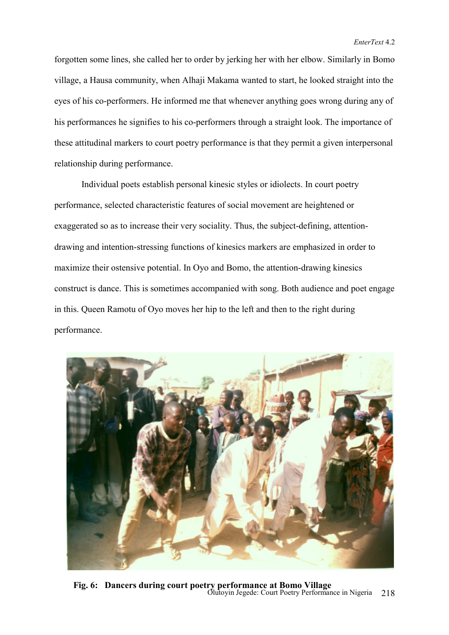forgotten some lines, she called her to order by jerking her with her elbow. Similarly in Bomo village, a Hausa community, when Alhaji Makama wanted to start, he looked straight into the eyes of his co-performers. He informed me that whenever anything goes wrong during any of his performances he signifies to his co-performers through a straight look. The importance of these attitudinal markers to court poetry performance is that they permit a given interpersonal relationship during performance.

 Individual poets establish personal kinesic styles or idiolects. In court poetry performance, selected characteristic features of social movement are heightened or exaggerated so as to increase their very sociality. Thus, the subject-defining, attentiondrawing and intention-stressing functions of kinesics markers are emphasized in order to maximize their ostensive potential. In Oyo and Bomo, the attention-drawing kinesics construct is dance. This is sometimes accompanied with song. Both audience and poet engage in this. Queen Ramotu of Oyo moves her hip to the left and then to the right during performance.



 Olutoyin Jegede: Court Poetry Performance in Nigeria 218 **Fig. 6: Dancers during court poetry performance at Bomo Village**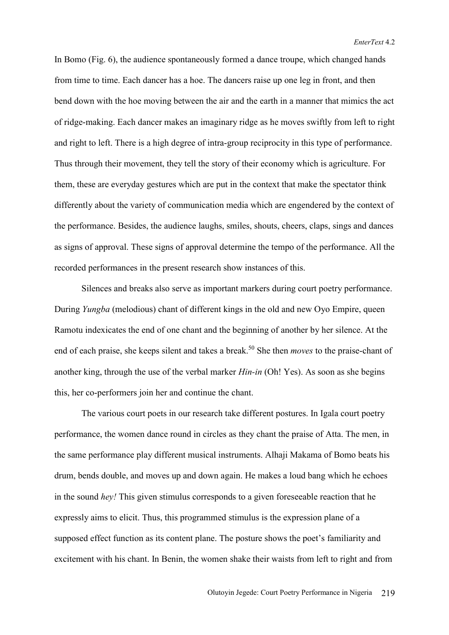In Bomo (Fig. 6), the audience spontaneously formed a dance troupe, which changed hands from time to time. Each dancer has a hoe. The dancers raise up one leg in front, and then bend down with the hoe moving between the air and the earth in a manner that mimics the act of ridge-making. Each dancer makes an imaginary ridge as he moves swiftly from left to right and right to left. There is a high degree of intra-group reciprocity in this type of performance. Thus through their movement, they tell the story of their economy which is agriculture. For them, these are everyday gestures which are put in the context that make the spectator think differently about the variety of communication media which are engendered by the context of the performance. Besides, the audience laughs, smiles, shouts, cheers, claps, sings and dances as signs of approval. These signs of approval determine the tempo of the performance. All the recorded performances in the present research show instances of this.

Silences and breaks also serve as important markers during court poetry performance. During *Yungba* (melodious) chant of different kings in the old and new Oyo Empire, queen Ramotu indexicates the end of one chant and the beginning of another by her silence. At the end of each praise, she keeps silent and takes a break.<sup>50</sup> She then *moves* to the praise-chant of another king, through the use of the verbal marker *Hin-in* (Oh! Yes). As soon as she begins this, her co-performers join her and continue the chant.

The various court poets in our research take different postures. In Igala court poetry performance, the women dance round in circles as they chant the praise of Atta. The men, in the same performance play different musical instruments. Alhaji Makama of Bomo beats his drum, bends double, and moves up and down again. He makes a loud bang which he echoes in the sound *hey!* This given stimulus corresponds to a given foreseeable reaction that he expressly aims to elicit. Thus, this programmed stimulus is the expression plane of a supposed effect function as its content plane. The posture shows the poet's familiarity and excitement with his chant. In Benin, the women shake their waists from left to right and from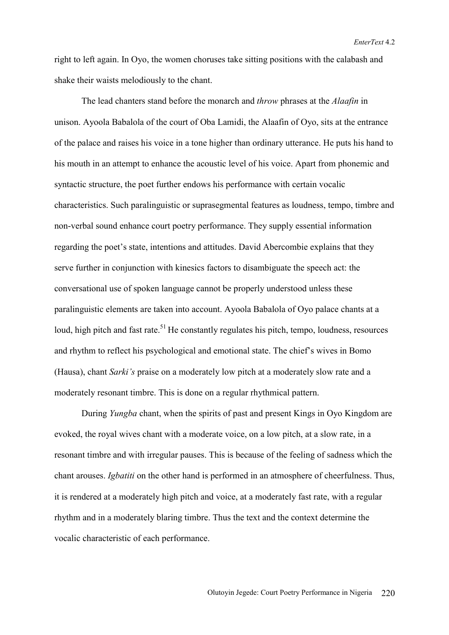right to left again. In Oyo, the women choruses take sitting positions with the calabash and shake their waists melodiously to the chant.

The lead chanters stand before the monarch and *throw* phrases at the *Alaafin* in unison. Ayoola Babalola of the court of Oba Lamidi, the Alaafin of Oyo, sits at the entrance of the palace and raises his voice in a tone higher than ordinary utterance. He puts his hand to his mouth in an attempt to enhance the acoustic level of his voice. Apart from phonemic and syntactic structure, the poet further endows his performance with certain vocalic characteristics. Such paralinguistic or suprasegmental features as loudness, tempo, timbre and non-verbal sound enhance court poetry performance. They supply essential information regarding the poet's state, intentions and attitudes. David Abercombie explains that they serve further in conjunction with kinesics factors to disambiguate the speech act: the conversational use of spoken language cannot be properly understood unless these paralinguistic elements are taken into account. Ayoola Babalola of Oyo palace chants at a loud, high pitch and fast rate.<sup>51</sup> He constantly regulates his pitch, tempo, loudness, resources and rhythm to reflect his psychological and emotional state. The chief's wives in Bomo (Hausa), chant *Sarki's* praise on a moderately low pitch at a moderately slow rate and a moderately resonant timbre. This is done on a regular rhythmical pattern.

During *Yungba* chant, when the spirits of past and present Kings in Oyo Kingdom are evoked, the royal wives chant with a moderate voice, on a low pitch, at a slow rate, in a resonant timbre and with irregular pauses. This is because of the feeling of sadness which the chant arouses. *Igbatiti* on the other hand is performed in an atmosphere of cheerfulness. Thus, it is rendered at a moderately high pitch and voice, at a moderately fast rate, with a regular rhythm and in a moderately blaring timbre. Thus the text and the context determine the vocalic characteristic of each performance.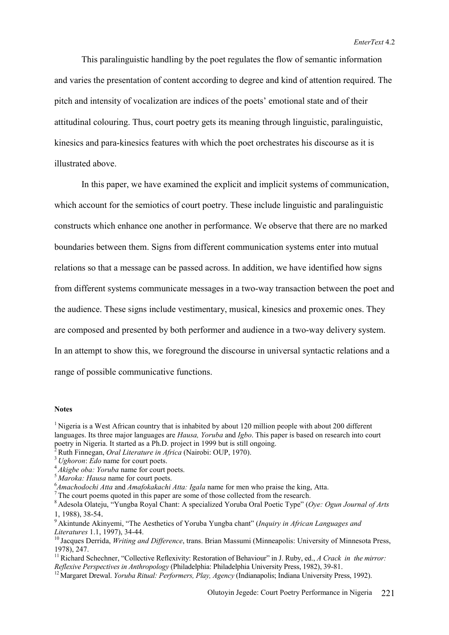This paralinguistic handling by the poet regulates the flow of semantic information and varies the presentation of content according to degree and kind of attention required. The pitch and intensity of vocalization are indices of the poets' emotional state and of their attitudinal colouring. Thus, court poetry gets its meaning through linguistic, paralinguistic, kinesics and para-kinesics features with which the poet orchestrates his discourse as it is illustrated above.

In this paper, we have examined the explicit and implicit systems of communication, which account for the semiotics of court poetry. These include linguistic and paralinguistic constructs which enhance one another in performance. We observe that there are no marked boundaries between them. Signs from different communication systems enter into mutual relations so that a message can be passed across. In addition, we have identified how signs from different systems communicate messages in a two-way transaction between the poet and the audience. These signs include vestimentary, musical, kinesics and proxemic ones. They are composed and presented by both performer and audience in a two-way delivery system. In an attempt to show this, we foreground the discourse in universal syntactic relations and a range of possible communicative functions.

## **Notes**

- 
- 

<sup>&</sup>lt;sup>1</sup> Nigeria is a West African country that is inhabited by about 120 million people with about 200 different languages. Its three major languages are *Hausa, Yoruba* and *Igbo*. This paper is based on research into court poetry in Nigeria. It started as a Ph.D. project in 1999 but is still ongoing.<br>
<sup>2</sup> Ruth Finnegan, *Oral Literature in Africa* (Nairobi: OUP, 1970).<br>
<sup>3</sup> Ughoron: Edo name for court poets.<br>
<sup>4</sup> Akigbe oba: Yoruba name for

<sup>&</sup>lt;sup>7</sup>The court poems quoted in this paper are some of those collected from the research.

<sup>8</sup> Adesola Olateju, "Yungba Royal Chant: A specialized Yoruba Oral Poetic Type" (*Oye: Ogun Journal of Arts* 

<sup>1, 1988), 38-54. 9</sup> Akintunde Akinyemi, "The Aesthetics of Yoruba Yungba chant" (*Inquiry in African Languages and* 

<sup>&</sup>lt;sup>10</sup> Jacques Derrida, *Writing and Difference*, trans. Brian Massumi (Minneapolis: University of Minnesota Press, 1978), 247.

<sup>&</sup>lt;sup>11</sup> Richard Schechner, "Collective Reflexivity: Restoration of Behaviour" in J. Ruby, ed., *A Crack in the mirror: Reflexive Perspectives in Anthropology* (Philadelphia: Philadelphia University Press, 1982), 39-81.

<sup>&</sup>lt;sup>12</sup> Margaret Drewal. *Yoruba Ritual: Performers, Play, Agency* (Indianapolis; Indiana University Press, 1992).